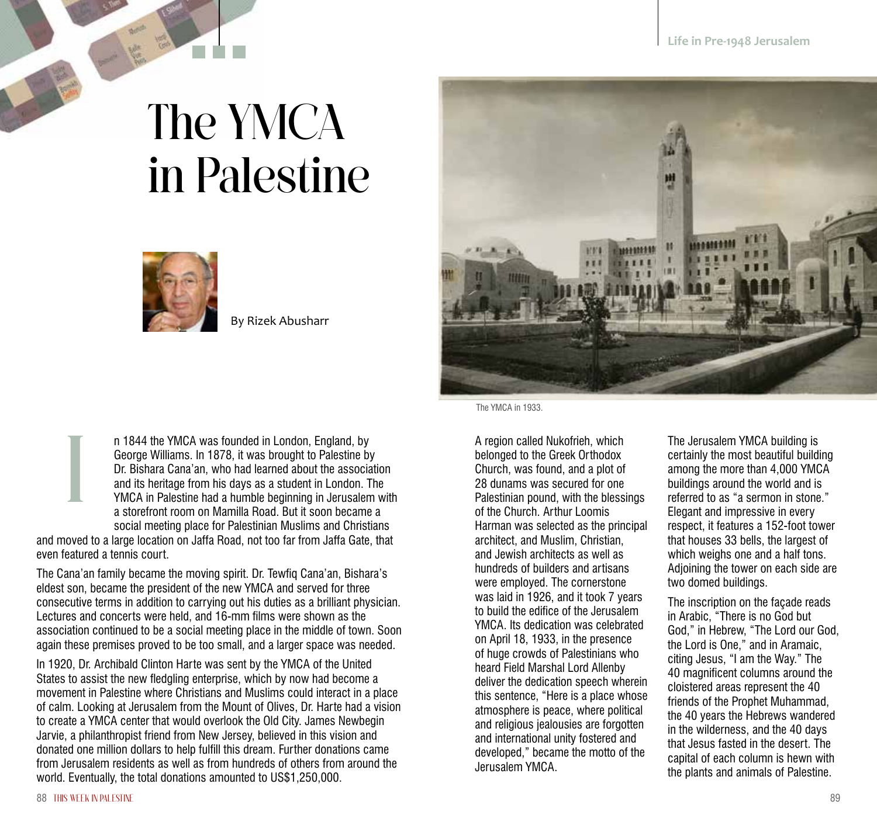## The YMCA in Palestine



By Rizek Abusharr

n 1844 the YMCA was founded in London, England, by George Williams. In 1878, it was brought to Palestine by Dr. Bishara Cana'an, who had learned about the association and its heritage from his days as a student in London. The YMCA in Palestine had a humble beginning in Jerusalem with a storefront room on Mamilla Road. But it soon became a social meeting place for Palestinian Muslims and Christians n 1844 the YMCA was founded in London, England, by<br>
George Williams. In 1878, it was brought to Palestine by<br>
Dr. Bishara Cana'an, who had learned about the association<br>
and its heritage from his days as a student in Londo

and moved to a large location on Jaffa Road, not too far from Jaffa Gate, that even featured a tennis court.

The Cana'an family became the moving spirit. Dr. Tewfiq Cana'an, Bishara's eldest son, became the president of the new YMCA and served for three consecutive terms in addition to carrying out his duties as a brilliant physician. Lectures and concerts were held, and 16-mm films were shown as the association continued to be a social meeting place in the middle of town. Soon again these premises proved to be too small, and a larger space was needed.

In 1920, Dr. Archibald Clinton Harte was sent by the YMCA of the United States to assist the new fledgling enterprise, which by now had become a movement in Palestine where Christians and Muslims could interact in a place of calm. Looking at Jerusalem from the Mount of Olives, Dr. Harte had a vision to create a YMCA center that would overlook the Old City. James Newbegin Jarvie, a philanthropist friend from New Jersey, believed in this vision and donated one million dollars to help fulfill this dream. Further donations came from Jerusalem residents as well as from hundreds of others from around the world. Eventually, the total donations amounted to US\$1,250,000.

The YMCA in 1933.

belonged to the Greek Orthodox Church, was found, and a plot of 28 dunams was secured for one Palestinian pound, with the blessings of the Church. Arthur Loomis Harman was selected as the principal architect, and Muslim, Christian, and Jewish architects as well as hundreds of builders and artisans were employed. The cornerstone was laid in 1926, and it took 7 years to build the edifice of the Jerusalem YMCA. Its dedication was celebrated on April 18, 1933, in the presence of huge crowds of Palestinians who heard Field Marshal Lord Allenby deliver the dedication speech wherein this sentence, "Here is a place whose atmosphere is peace, where political and religious jealousies are forgotten and international unity fostered and developed," became the motto of the Jerusalem YMCA.

The Jerusalem YMCA building is certainly the most beautiful building among the more than 4,000 YMCA buildings around the world and is referred to as "a sermon in stone." Elegant and impressive in every respect, it features a 152-foot tower that houses 33 bells, the largest of which weighs one and a half tons. Adjoining the tower on each side are two domed buildings.

The inscription on the façade reads in Arabic, "There is no God but God," in Hebrew, "The Lord our God, the Lord is One," and in Aramaic, citing Jesus, "I am the Way." The 40 magnificent columns around the cloistered areas represent the 40 friends of the Prophet Muhammad, the 40 years the Hebrews wandered in the wilderness, and the 40 days that Jesus fasted in the desert. The capital of each column is hewn with the plants and animals of Palestine.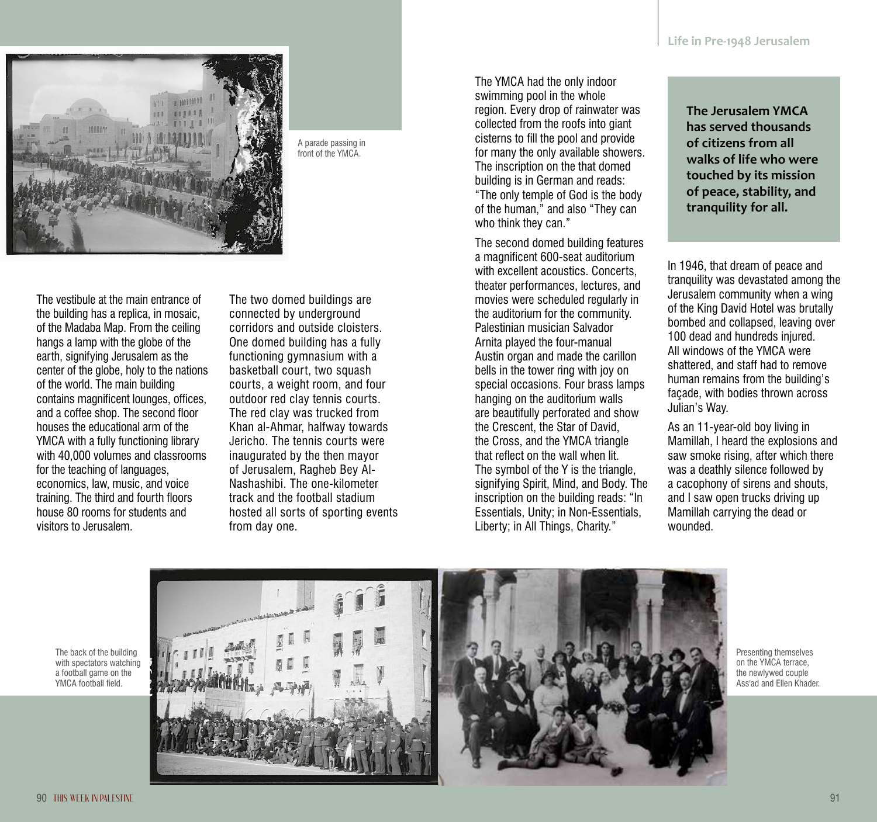

A parade passing in front of the YMCA.

The vestibule at the main entrance of the building has a replica, in mosaic, of the Madaba Map. From the ceiling hangs a lamp with the globe of the earth, signifying Jerusalem as the center of the globe, holy to the nations of the world. The main building contains magnificent lounges, offices, and a coffee shop. The second floor houses the educational arm of the YMCA with a fully functioning library with 40,000 volumes and classrooms for the teaching of languages, economics, law, music, and voice training. The third and fourth floors house 80 rooms for students and visitors to Jerusalem.

The two domed buildings are connected by underground corridors and outside cloisters. One domed building has a fully functioning gymnasium with a basketball court, two squash courts, a weight room, and four outdoor red clay tennis courts. The red clay was trucked from Khan al-Ahmar, halfway towards Jericho. The tennis courts were inaugurated by the then mayor of Jerusalem, Ragheb Bey Al-Nashashibi. The one-kilometer track and the football stadium hosted all sorts of sporting events from day one.

The YMCA had the only indoor swimming pool in the whole region. Every drop of rainwater was collected from the roofs into giant cisterns to fill the pool and provide for many the only available showers. The inscription on the that domed building is in German and reads: "The only temple of God is the body of the human," and also "They can who think they can."

The second domed building features a magnificent 600-seat auditorium with excellent acoustics. Concerts, theater performances, lectures, and movies were scheduled regularly in the auditorium for the community. Palestinian musician Salvador Arnita played the four-manual Austin organ and made the carillon bells in the tower ring with joy on special occasions. Four brass lamps hanging on the auditorium walls are beautifully perforated and show the Crescent, the Star of David, the Cross, and the YMCA triangle that reflect on the wall when lit. The symbol of the Y is the triangle, signifying Spirit, Mind, and Body. The inscription on the building reads: "In Essentials, Unity; in Non-Essentials, Liberty; in All Things, Charity."

**The Jerusalem YMCA has served thousands of citizens from all walks of life who were touched by its mission of peace, stability, and tranquility for all.**

In 1946, that dream of peace and tranquility was devastated among the Jerusalem community when a wing of the King David Hotel was brutally bombed and collapsed, leaving over 100 dead and hundreds injured. All windows of the YMCA were shattered, and staff had to remove human remains from the building's façade, with bodies thrown across Julian's Way.

As an 11-year-old boy living in Mamillah, I heard the explosions and saw smoke rising, after which there was a deathly silence followed by a cacophony of sirens and shouts, and I saw open trucks driving up Mamillah carrying the dead or wounded.

The back of the building with spectators watching a football game on the YMCA football field.



Presenting themselves on the YMCA terrace, the newlywed couple Ass'ad and Ellen Khader.